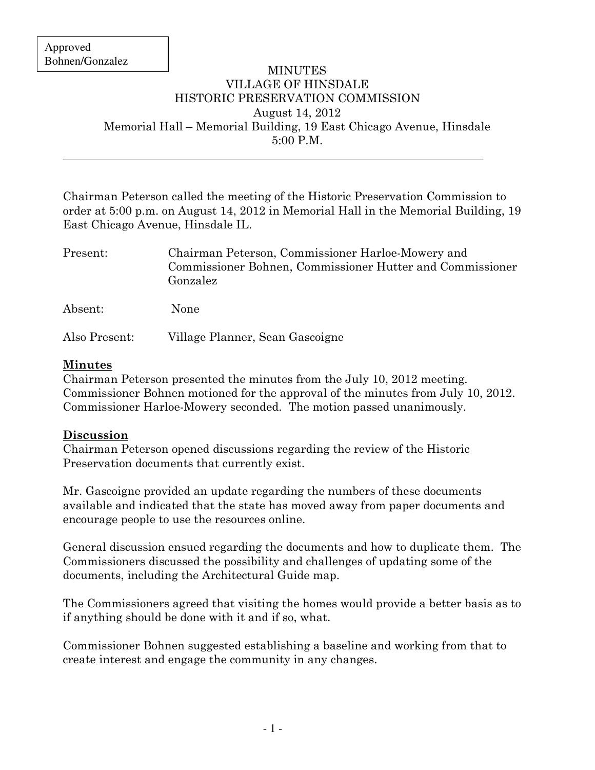$\overline{a}$ 

## MINUTES VILLAGE OF HINSDALE HISTORIC PRESERVATION COMMISSION August 14, 2012 Memorial Hall – Memorial Building, 19 East Chicago Avenue, Hinsdale 5:00 P.M.

Chairman Peterson called the meeting of the Historic Preservation Commission to order at 5:00 p.m. on August 14, 2012 in Memorial Hall in the Memorial Building, 19 East Chicago Avenue, Hinsdale IL.

| Present:      | Chairman Peterson, Commissioner Harloe-Mowery and<br>Commissioner Bohnen, Commissioner Hutter and Commissioner<br>Gonzalez |
|---------------|----------------------------------------------------------------------------------------------------------------------------|
| Absent:       | None                                                                                                                       |
| Also Present: | Village Planner, Sean Gascoigne                                                                                            |

## Minutes

Chairman Peterson presented the minutes from the July 10, 2012 meeting. Commissioner Bohnen motioned for the approval of the minutes from July 10, 2012. Commissioner Harloe-Mowery seconded. The motion passed unanimously.

## Discussion

Chairman Peterson opened discussions regarding the review of the Historic Preservation documents that currently exist.

Mr. Gascoigne provided an update regarding the numbers of these documents available and indicated that the state has moved away from paper documents and encourage people to use the resources online.

General discussion ensued regarding the documents and how to duplicate them. The Commissioners discussed the possibility and challenges of updating some of the documents, including the Architectural Guide map.

The Commissioners agreed that visiting the homes would provide a better basis as to if anything should be done with it and if so, what.

Commissioner Bohnen suggested establishing a baseline and working from that to create interest and engage the community in any changes.